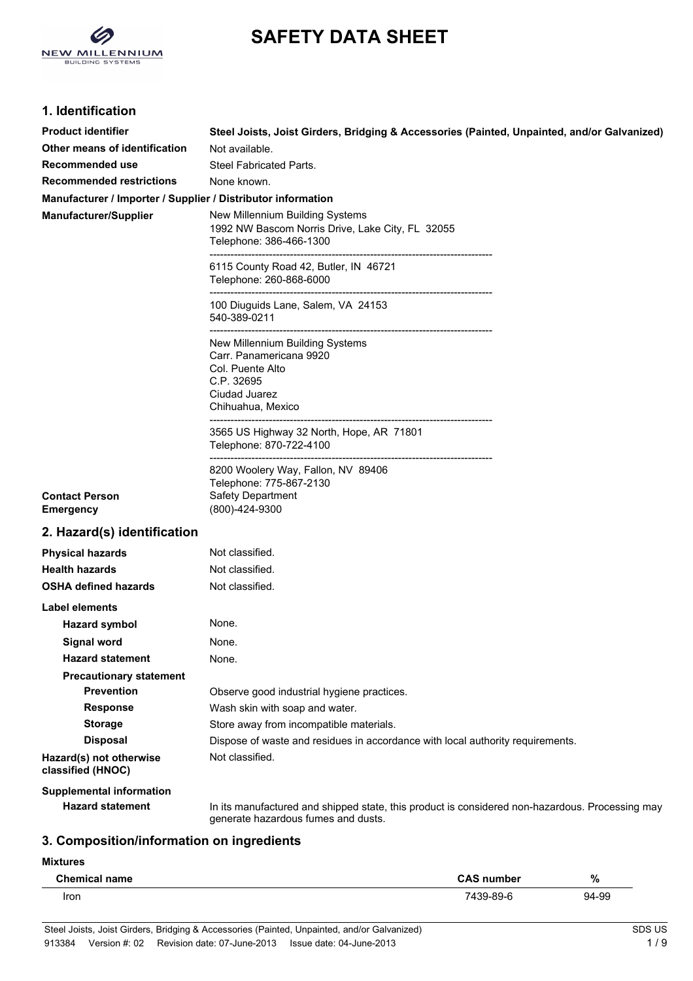

# **SAFETY DATA SHEET**

## **1. Identification**

| <b>Product identifier</b>                                    | Steel Joists, Joist Girders, Bridging & Accessories (Painted, Unpainted, and/or Galvanized)                                            |
|--------------------------------------------------------------|----------------------------------------------------------------------------------------------------------------------------------------|
| Other means of identification                                | Not available.                                                                                                                         |
| Recommended use                                              | <b>Steel Fabricated Parts.</b>                                                                                                         |
| <b>Recommended restrictions</b>                              | None known.                                                                                                                            |
| Manufacturer / Importer / Supplier / Distributor information |                                                                                                                                        |
| <b>Manufacturer/Supplier</b>                                 | New Millennium Building Systems<br>1992 NW Bascom Norris Drive, Lake City, FL 32055<br>Telephone: 386-466-1300                         |
|                                                              | 6115 County Road 42, Butler, IN 46721<br>Telephone: 260-868-6000                                                                       |
|                                                              | 100 Diuguids Lane, Salem, VA 24153<br>540-389-0211                                                                                     |
|                                                              | New Millennium Building Systems<br>Carr. Panamericana 9920<br>Col. Puente Alto<br>C.P. 32695<br>Ciudad Juarez<br>Chihuahua, Mexico     |
|                                                              | 3565 US Highway 32 North, Hope, AR 71801<br>Telephone: 870-722-4100                                                                    |
| <b>Contact Person</b><br><b>Emergency</b>                    | 8200 Woolery Way, Fallon, NV 89406<br>Telephone: 775-867-2130<br>Safety Department<br>(800)-424-9300                                   |
| 2. Hazard(s) identification                                  |                                                                                                                                        |
| <b>Physical hazards</b>                                      | Not classified.                                                                                                                        |
| <b>Health hazards</b>                                        | Not classified.                                                                                                                        |
| <b>OSHA defined hazards</b>                                  | Not classified.                                                                                                                        |
| Label elements                                               |                                                                                                                                        |
| <b>Hazard symbol</b>                                         | None.                                                                                                                                  |
| <b>Signal word</b>                                           | None.                                                                                                                                  |
| <b>Hazard statement</b>                                      | None.                                                                                                                                  |
| <b>Precautionary statement</b>                               |                                                                                                                                        |
| <b>Prevention</b>                                            | Observe good industrial hygiene practices.                                                                                             |
| <b>Response</b>                                              | Wash skin with soap and water.                                                                                                         |
| <b>Storage</b>                                               | Store away from incompatible materials.                                                                                                |
| <b>Disposal</b>                                              | Dispose of waste and residues in accordance with local authority requirements.                                                         |
| Hazard(s) not otherwise<br>classified (HNOC)                 | Not classified.                                                                                                                        |
| <b>Supplemental information</b>                              |                                                                                                                                        |
| <b>Hazard statement</b>                                      | In its manufactured and shipped state, this product is considered non-hazardous. Processing may<br>generate hazardous fumes and dusts. |

# **3. Composition/information on ingredients**

**Mixtures**

 $\overline{a}$ 

| <b>Chemical name</b> | <b>CAS number</b> | %     |
|----------------------|-------------------|-------|
| Iron                 | 7439-89-6         | 94-99 |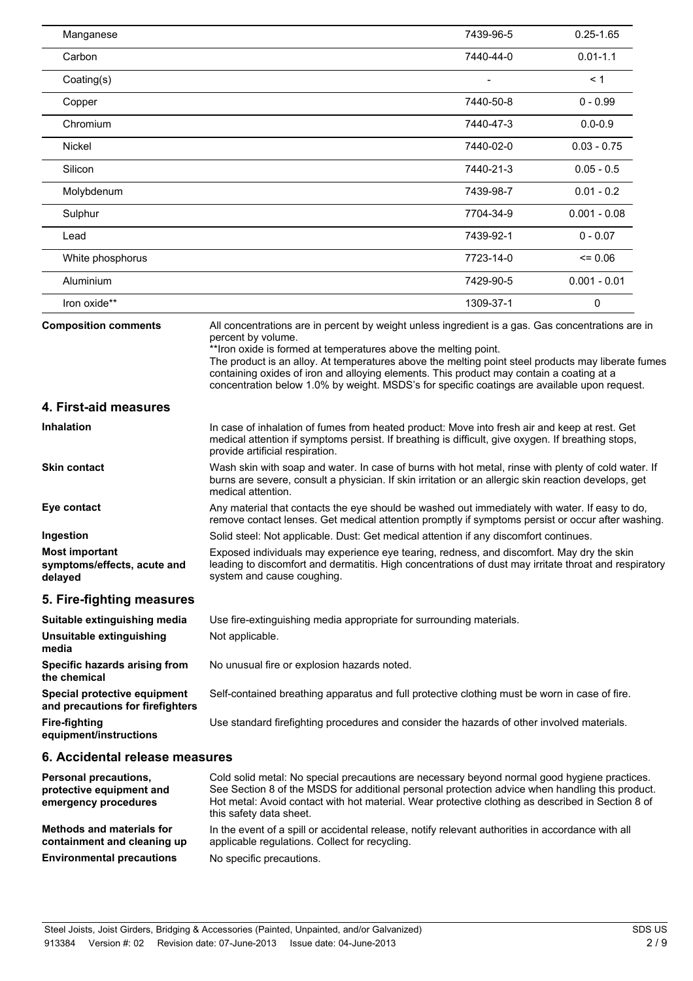| Manganese                                                                        |                                                                                                                                                                                                                                                                                                                                                                                                                                                                                               | 7439-96-5 | $0.25 - 1.65$  |
|----------------------------------------------------------------------------------|-----------------------------------------------------------------------------------------------------------------------------------------------------------------------------------------------------------------------------------------------------------------------------------------------------------------------------------------------------------------------------------------------------------------------------------------------------------------------------------------------|-----------|----------------|
| Carbon                                                                           |                                                                                                                                                                                                                                                                                                                                                                                                                                                                                               | 7440-44-0 | $0.01 - 1.1$   |
| Coating(s)                                                                       |                                                                                                                                                                                                                                                                                                                                                                                                                                                                                               |           | < 1            |
| Copper                                                                           |                                                                                                                                                                                                                                                                                                                                                                                                                                                                                               | 7440-50-8 | $0 - 0.99$     |
| Chromium                                                                         |                                                                                                                                                                                                                                                                                                                                                                                                                                                                                               | 7440-47-3 | $0.0 - 0.9$    |
| Nickel                                                                           |                                                                                                                                                                                                                                                                                                                                                                                                                                                                                               | 7440-02-0 | $0.03 - 0.75$  |
| Silicon                                                                          |                                                                                                                                                                                                                                                                                                                                                                                                                                                                                               | 7440-21-3 | $0.05 - 0.5$   |
| Molybdenum                                                                       |                                                                                                                                                                                                                                                                                                                                                                                                                                                                                               | 7439-98-7 | $0.01 - 0.2$   |
| Sulphur                                                                          |                                                                                                                                                                                                                                                                                                                                                                                                                                                                                               | 7704-34-9 | $0.001 - 0.08$ |
| Lead                                                                             |                                                                                                                                                                                                                                                                                                                                                                                                                                                                                               | 7439-92-1 | $0 - 0.07$     |
| White phosphorus                                                                 |                                                                                                                                                                                                                                                                                                                                                                                                                                                                                               | 7723-14-0 | $= 0.06$       |
| Aluminium                                                                        |                                                                                                                                                                                                                                                                                                                                                                                                                                                                                               | 7429-90-5 | $0.001 - 0.01$ |
| Iron oxide**                                                                     |                                                                                                                                                                                                                                                                                                                                                                                                                                                                                               | 1309-37-1 | 0              |
| <b>Composition comments</b>                                                      | All concentrations are in percent by weight unless ingredient is a gas. Gas concentrations are in<br>percent by volume.<br>** Iron oxide is formed at temperatures above the melting point.<br>The product is an alloy. At temperatures above the melting point steel products may liberate fumes<br>containing oxides of iron and alloying elements. This product may contain a coating at a<br>concentration below 1.0% by weight. MSDS's for specific coatings are available upon request. |           |                |
| 4. First-aid measures                                                            |                                                                                                                                                                                                                                                                                                                                                                                                                                                                                               |           |                |
| <b>Inhalation</b>                                                                | In case of inhalation of fumes from heated product: Move into fresh air and keep at rest. Get<br>medical attention if symptoms persist. If breathing is difficult, give oxygen. If breathing stops,<br>provide artificial respiration.                                                                                                                                                                                                                                                        |           |                |
| <b>Skin contact</b>                                                              | Wash skin with soap and water. In case of burns with hot metal, rinse with plenty of cold water. If<br>burns are severe, consult a physician. If skin irritation or an allergic skin reaction develops, get<br>medical attention.                                                                                                                                                                                                                                                             |           |                |
| Eye contact                                                                      | Any material that contacts the eye should be washed out immediately with water. If easy to do,<br>remove contact lenses. Get medical attention promptly if symptoms persist or occur after washing.                                                                                                                                                                                                                                                                                           |           |                |
| Ingestion                                                                        | Solid steel: Not applicable. Dust: Get medical attention if any discomfort continues.                                                                                                                                                                                                                                                                                                                                                                                                         |           |                |
| <b>Most important</b><br>symptoms/effects, acute and<br>delayed                  | Exposed individuals may experience eye tearing, redness, and discomfort. May dry the skin<br>leading to discomfort and dermatitis. High concentrations of dust may irritate throat and respiratory<br>system and cause coughing.                                                                                                                                                                                                                                                              |           |                |
| 5. Fire-fighting measures                                                        |                                                                                                                                                                                                                                                                                                                                                                                                                                                                                               |           |                |
| Suitable extinguishing media                                                     | Use fire-extinguishing media appropriate for surrounding materials.                                                                                                                                                                                                                                                                                                                                                                                                                           |           |                |
| Unsuitable extinguishing<br>media                                                | Not applicable.                                                                                                                                                                                                                                                                                                                                                                                                                                                                               |           |                |
| Specific hazards arising from<br>the chemical                                    | No unusual fire or explosion hazards noted.                                                                                                                                                                                                                                                                                                                                                                                                                                                   |           |                |
| Special protective equipment<br>and precautions for firefighters                 | Self-contained breathing apparatus and full protective clothing must be worn in case of fire.                                                                                                                                                                                                                                                                                                                                                                                                 |           |                |
| <b>Fire-fighting</b><br>equipment/instructions                                   | Use standard firefighting procedures and consider the hazards of other involved materials.                                                                                                                                                                                                                                                                                                                                                                                                    |           |                |
| 6. Accidental release measures                                                   |                                                                                                                                                                                                                                                                                                                                                                                                                                                                                               |           |                |
| <b>Personal precautions,</b><br>protective equipment and<br>emergency procedures | Cold solid metal: No special precautions are necessary beyond normal good hygiene practices.<br>See Section 8 of the MSDS for additional personal protection advice when handling this product.<br>Hot metal: Avoid contact with hot material. Wear protective clothing as described in Section 8 of<br>this safety data sheet.                                                                                                                                                               |           |                |

**Methods and materials for containment and cleaning up** In the event of a spill or accidental release, notify relevant authorities in accordance with all applicable regulations. Collect for recycling. **Environmental precautions** No specific precautions.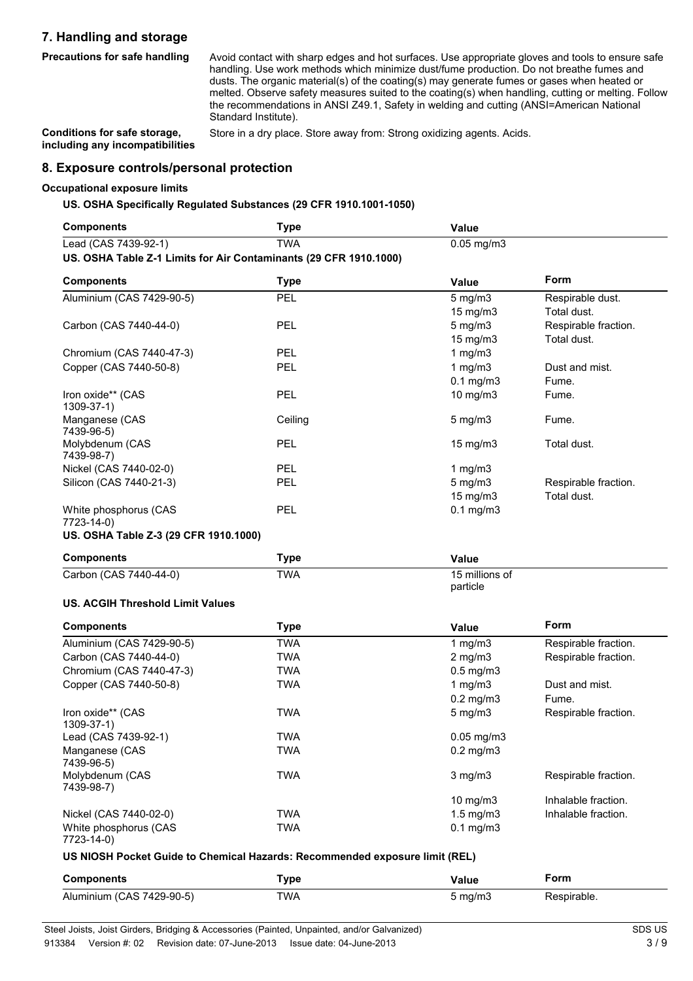## **7. Handling and storage**

**Precautions for safe handling** Avoid contact with sharp edges and hot surfaces. Use appropriate gloves and tools to ensure safe handling. Use work methods which minimize dust/fume production. Do not breathe fumes and dusts. The organic material(s) of the coating(s) may generate fumes or gases when heated or melted. Observe safety measures suited to the coating(s) when handling, cutting or melting. Follow the recommendations in ANSI Z49.1, Safety in welding and cutting (ANSI=American National Standard Institute).

**Conditions for safe storage, including any incompatibilities**

Store in a dry place. Store away from: Strong oxidizing agents. Acids.

**8. Exposure controls/personal protection**

#### **Occupational exposure limits**

**US. OSHA Specifically Regulated Substances (29 CFR 1910.1001-1050)**

| <b>Components</b>                                                 | <b>Type</b> | Value                      |                      |
|-------------------------------------------------------------------|-------------|----------------------------|----------------------|
| Lead (CAS 7439-92-1)                                              | <b>TWA</b>  | $0.05$ mg/m $3$            |                      |
| US. OSHA Table Z-1 Limits for Air Contaminants (29 CFR 1910.1000) |             |                            |                      |
| <b>Components</b>                                                 | <b>Type</b> | Value                      | Form                 |
| Aluminium (CAS 7429-90-5)                                         | PEL         | $5$ mg/m $3$               | Respirable dust.     |
|                                                                   |             | 15 mg/m3                   | Total dust.          |
| Carbon (CAS 7440-44-0)                                            | <b>PEL</b>  | $5$ mg/m $3$               | Respirable fraction. |
|                                                                   |             | 15 mg/m3                   | Total dust.          |
| Chromium (CAS 7440-47-3)                                          | <b>PEL</b>  | 1 $mg/m3$                  |                      |
| Copper (CAS 7440-50-8)                                            | PEL         | $1$ mg/m $3$               | Dust and mist.       |
|                                                                   |             | $0.1$ mg/m $3$             | Fume.                |
| Iron oxide** (CAS<br>1309-37-1)                                   | <b>PEL</b>  | 10 mg/m3                   | Fume.                |
| Manganese (CAS<br>7439-96-5)                                      | Ceiling     | $5$ mg/m $3$               | Fume.                |
| Molybdenum (CAS<br>7439-98-7)                                     | PEL         | 15 mg/m3                   | Total dust.          |
| Nickel (CAS 7440-02-0)                                            | <b>PEL</b>  | 1 $mg/m3$                  |                      |
| Silicon (CAS 7440-21-3)                                           | <b>PEL</b>  | 5 mg/m3                    | Respirable fraction. |
|                                                                   |             | 15 mg/m3                   | Total dust.          |
| White phosphorus (CAS<br>7723-14-0)                               | PEL         | $0.1$ mg/m $3$             |                      |
| US. OSHA Table Z-3 (29 CFR 1910.1000)                             |             |                            |                      |
| <b>Components</b>                                                 | <b>Type</b> | Value                      |                      |
| Carbon (CAS 7440-44-0)                                            | <b>TWA</b>  | 15 millions of<br>particle |                      |
| <b>US. ACGIH Threshold Limit Values</b>                           |             |                            |                      |
| <b>Components</b>                                                 | <b>Type</b> | <b>Value</b>               | Form                 |
| Aluminium (CAS 7429-90-5)                                         | <b>TWA</b>  | 1 $mg/m3$                  | Respirable fraction. |
| Carbon (CAS 7440-44-0)                                            | <b>TWA</b>  | $2$ mg/m $3$               | Respirable fraction. |
| Chromium (CAS 7440-47-3)                                          | <b>TWA</b>  | $0.5$ mg/m $3$             |                      |
| Copper (CAS 7440-50-8)                                            | <b>TWA</b>  | 1 mg/m3                    | Dust and mist.       |
|                                                                   |             | $0.2$ mg/m $3$             | Fume.                |
| Iron oxide** (CAS<br>1309-37-1)                                   | <b>TWA</b>  | $5$ mg/m $3$               | Respirable fraction. |
| Lead (CAS 7439-92-1)                                              | <b>TWA</b>  | $0.05$ mg/m $3$            |                      |
| Manganese (CAS<br>7439-96-5)                                      | <b>TWA</b>  | $0.2$ mg/m $3$             |                      |
| Molybdenum (CAS<br>7439-98-7)                                     | <b>TWA</b>  | $3$ mg/m $3$               | Respirable fraction. |
|                                                                   |             | 10 mg/m3                   | Inhalable fraction.  |
| Nickel (CAS 7440-02-0)                                            | <b>TWA</b>  | $1.5$ mg/m $3$             | Inhalable fraction.  |
| White phosphorus (CAS<br>7723-14-0)                               | <b>TWA</b>  | $0.1$ mg/m $3$             |                      |

**US NIOSH Pocket Guide to Chemical Hazards: Recommended exposure limit (REL)**

| <b>Components</b>         | Type | Value               | Form        |
|---------------------------|------|---------------------|-------------|
| Aluminium (CAS 7429-90-5) | TWA  | $5 \,\mathrm{mg/m}$ | Respirable. |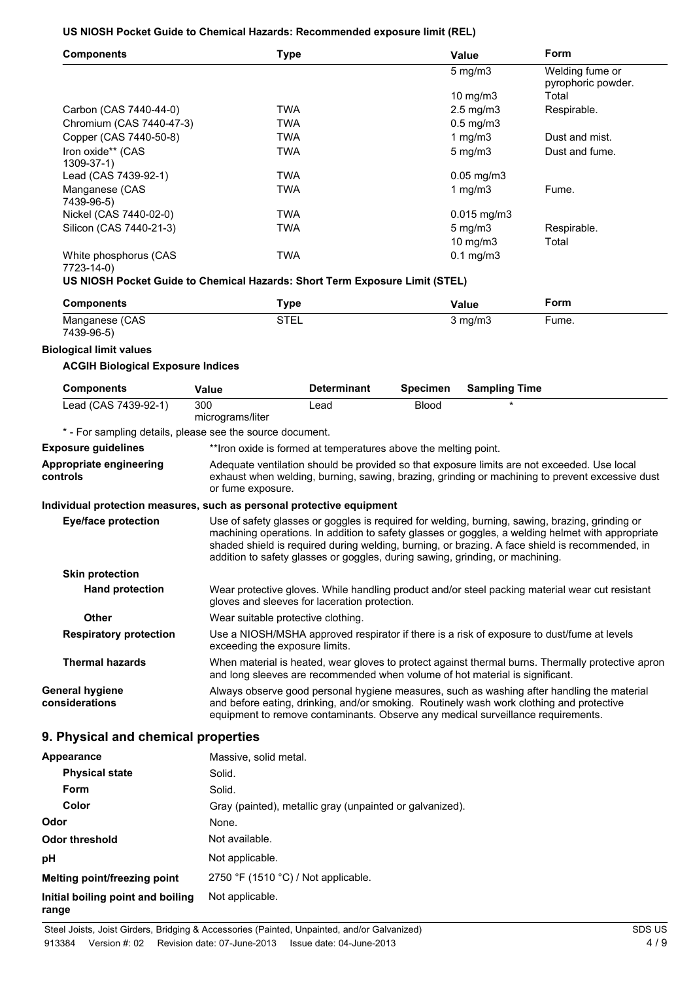#### **US NIOSH Pocket Guide to Chemical Hazards: Recommended exposure limit (REL)**

| <b>Components</b>               | <b>Type</b> | Value                              | Form                                  |
|---------------------------------|-------------|------------------------------------|---------------------------------------|
|                                 |             | $5 \text{ mg/m}$ 3                 | Welding fume or<br>pyrophoric powder. |
|                                 |             | 10 $mg/m3$                         | Total                                 |
| Carbon (CAS 7440-44-0)          | <b>TWA</b>  | $2.5 \text{ mg/m}$ 3               | Respirable.                           |
| Chromium (CAS 7440-47-3)        | <b>TWA</b>  | $0.5 \text{ mg/m}$ 3               |                                       |
| Copper (CAS 7440-50-8)          | <b>TWA</b>  | 1 mg/m $3$                         | Dust and mist.                        |
| Iron oxide** (CAS<br>1309-37-1) | <b>TWA</b>  | $5 \text{ mg/m}$                   | Dust and fume.                        |
| Lead (CAS 7439-92-1)            | <b>TWA</b>  | $0.05$ mg/m $3$                    |                                       |
| Manganese (CAS<br>7439-96-5)    | <b>TWA</b>  | 1 $mq/m3$                          | Fume.                                 |
| Nickel (CAS 7440-02-0)          | <b>TWA</b>  | $0.015$ mg/m $3$                   |                                       |
| Silicon (CAS 7440-21-3)         | <b>TWA</b>  | $5 \,\mathrm{mg/m}$<br>10 mg/m $3$ | Respirable.<br>Total                  |
| White phosphorus (CAS           | <b>TWA</b>  | $0.1 \text{ mg/m}$                 |                                       |

```
7723-14-0)
```
#### **US NIOSH Pocket Guide to Chemical Hazards: Short Term Exposure Limit (STEL)**

| <b>Components</b> | ™уре | Value   | Form  |
|-------------------|------|---------|-------|
| Manganese (CAS    | STEL | 3 mg/m3 | ⊢ume. |
| 7439-96-5)        |      |         |       |

#### **Biological limit values**

#### **ACGIH Biological Exposure Indices**

| <b>Components</b>                                                     | Value                              | <b>Determinant</b>                                              | <b>Specimen</b> | <b>Sampling Time</b>                                                                                                                                                                                                                                                                                                                                                                     |
|-----------------------------------------------------------------------|------------------------------------|-----------------------------------------------------------------|-----------------|------------------------------------------------------------------------------------------------------------------------------------------------------------------------------------------------------------------------------------------------------------------------------------------------------------------------------------------------------------------------------------------|
| Lead (CAS 7439-92-1)                                                  | 300<br>micrograms/liter            | Lead                                                            | <b>Blood</b>    |                                                                                                                                                                                                                                                                                                                                                                                          |
| * - For sampling details, please see the source document.             |                                    |                                                                 |                 |                                                                                                                                                                                                                                                                                                                                                                                          |
| <b>Exposure guidelines</b>                                            |                                    | **Iron oxide is formed at temperatures above the melting point. |                 |                                                                                                                                                                                                                                                                                                                                                                                          |
| Appropriate engineering<br>controls                                   | or fume exposure.                  |                                                                 |                 | Adequate ventilation should be provided so that exposure limits are not exceeded. Use local<br>exhaust when welding, burning, sawing, brazing, grinding or machining to prevent excessive dust                                                                                                                                                                                           |
| Individual protection measures, such as personal protective equipment |                                    |                                                                 |                 |                                                                                                                                                                                                                                                                                                                                                                                          |
| <b>Eye/face protection</b>                                            |                                    |                                                                 |                 | Use of safety glasses or goggles is required for welding, burning, sawing, brazing, grinding or<br>machining operations. In addition to safety glasses or goggles, a welding helmet with appropriate<br>shaded shield is required during welding, burning, or brazing. A face shield is recommended, in<br>addition to safety glasses or goggles, during sawing, grinding, or machining. |
| <b>Skin protection</b>                                                |                                    |                                                                 |                 |                                                                                                                                                                                                                                                                                                                                                                                          |
| <b>Hand protection</b>                                                |                                    | gloves and sleeves for laceration protection.                   |                 | Wear protective gloves. While handling product and/or steel packing material wear cut resistant                                                                                                                                                                                                                                                                                          |
| <b>Other</b>                                                          | Wear suitable protective clothing. |                                                                 |                 |                                                                                                                                                                                                                                                                                                                                                                                          |
| <b>Respiratory protection</b>                                         | exceeding the exposure limits.     |                                                                 |                 | Use a NIOSH/MSHA approved respirator if there is a risk of exposure to dust/fume at levels                                                                                                                                                                                                                                                                                               |
| <b>Thermal hazards</b>                                                |                                    |                                                                 |                 | When material is heated, wear gloves to protect against thermal burns. Thermally protective apron<br>and long sleeves are recommended when volume of hot material is significant.                                                                                                                                                                                                        |
| <b>General hygiene</b><br>considerations                              |                                    |                                                                 |                 | Always observe good personal hygiene measures, such as washing after handling the material<br>and before eating, drinking, and/or smoking. Routinely wash work clothing and protective<br>equipment to remove contaminants. Observe any medical surveillance requirements.                                                                                                               |
|                                                                       |                                    |                                                                 |                 |                                                                                                                                                                                                                                                                                                                                                                                          |

#### **9. Physical and chemical properties**

| Appearance                                 | Massive, solid metal.                                    |
|--------------------------------------------|----------------------------------------------------------|
| <b>Physical state</b>                      | Solid.                                                   |
| <b>Form</b>                                | Solid.                                                   |
| Color                                      | Gray (painted), metallic gray (unpainted or galvanized). |
| Odor                                       | None.                                                    |
| Odor threshold                             | Not available.                                           |
| рH                                         | Not applicable.                                          |
| Melting point/freezing point               | 2750 °F (1510 °C) / Not applicable.                      |
| Initial boiling point and boiling<br>range | Not applicable.                                          |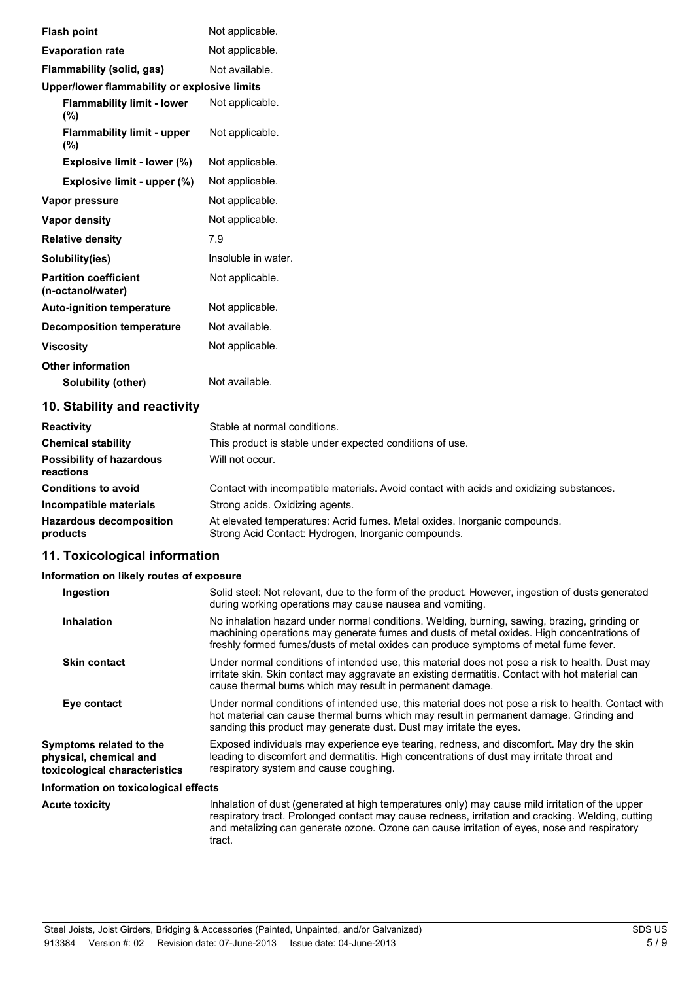| <b>Flash point</b>                                |                             | Not applicable.     |
|---------------------------------------------------|-----------------------------|---------------------|
| <b>Evaporation rate</b>                           |                             | Not applicable.     |
| Flammability (solid, gas)                         |                             | Not available.      |
| Upper/lower flammability or explosive limits      |                             |                     |
| <b>Flammability limit - lower</b><br>$(\%)$       |                             | Not applicable.     |
| <b>Flammability limit - upper</b><br>(%)          |                             | Not applicable.     |
| Explosive limit - lower (%)                       |                             | Not applicable.     |
|                                                   | Explosive limit - upper (%) | Not applicable.     |
| Vapor pressure                                    |                             | Not applicable.     |
| <b>Vapor density</b>                              |                             | Not applicable.     |
| <b>Relative density</b>                           |                             | 7.9                 |
| Solubility(ies)                                   |                             | Insoluble in water. |
| <b>Partition coefficient</b><br>(n-octanol/water) |                             | Not applicable.     |
| <b>Auto-ignition temperature</b>                  |                             | Not applicable.     |
| <b>Decomposition temperature</b>                  |                             | Not available.      |
| <b>Viscosity</b>                                  |                             | Not applicable.     |
| <b>Other information</b>                          |                             |                     |
| Solubility (other)                                |                             | Not available.      |
|                                                   |                             |                     |

## **10. Stability and reactivity**

| <b>Reactivity</b>                            | Stable at normal conditions.                                                                                                     |
|----------------------------------------------|----------------------------------------------------------------------------------------------------------------------------------|
| <b>Chemical stability</b>                    | This product is stable under expected conditions of use.                                                                         |
| <b>Possibility of hazardous</b><br>reactions | Will not occur.                                                                                                                  |
| <b>Conditions to avoid</b>                   | Contact with incompatible materials. Avoid contact with acids and oxidizing substances.                                          |
| Incompatible materials                       | Strong acids. Oxidizing agents.                                                                                                  |
| <b>Hazardous decomposition</b><br>products   | At elevated temperatures: Acrid fumes. Metal oxides. Inorganic compounds.<br>Strong Acid Contact: Hydrogen, Inorganic compounds. |

#### **11. Toxicological information**

#### **Information on likely routes of exposure**

| Ingestion                                                                          | Solid steel: Not relevant, due to the form of the product. However, ingestion of dusts generated<br>during working operations may cause nausea and vomiting.                                                                                                                      |
|------------------------------------------------------------------------------------|-----------------------------------------------------------------------------------------------------------------------------------------------------------------------------------------------------------------------------------------------------------------------------------|
| <b>Inhalation</b>                                                                  | No inhalation hazard under normal conditions. Welding, burning, sawing, brazing, grinding or<br>machining operations may generate fumes and dusts of metal oxides. High concentrations of<br>freshly formed fumes/dusts of metal oxides can produce symptoms of metal fume fever. |
| <b>Skin contact</b>                                                                | Under normal conditions of intended use, this material does not pose a risk to health. Dust may<br>irritate skin. Skin contact may aggravate an existing dermatitis. Contact with hot material can<br>cause thermal burns which may result in permanent damage.                   |
| Eye contact                                                                        | Under normal conditions of intended use, this material does not pose a risk to health. Contact with<br>hot material can cause thermal burns which may result in permanent damage. Grinding and<br>sanding this product may generate dust. Dust may irritate the eyes.             |
| Symptoms related to the<br>physical, chemical and<br>toxicological characteristics | Exposed individuals may experience eye tearing, redness, and discomfort. May dry the skin<br>leading to discomfort and dermatitis. High concentrations of dust may irritate throat and<br>respiratory system and cause coughing.                                                  |
| Information on toxicological effects                                               |                                                                                                                                                                                                                                                                                   |
|                                                                                    |                                                                                                                                                                                                                                                                                   |

Acute toxicity **Inhalation of dust (generated at high temperatures only) may cause mild irritation of the upper** respiratory tract. Prolonged contact may cause redness, irritation and cracking. Welding, cutting and metalizing can generate ozone. Ozone can cause irritation of eyes, nose and respiratory tract.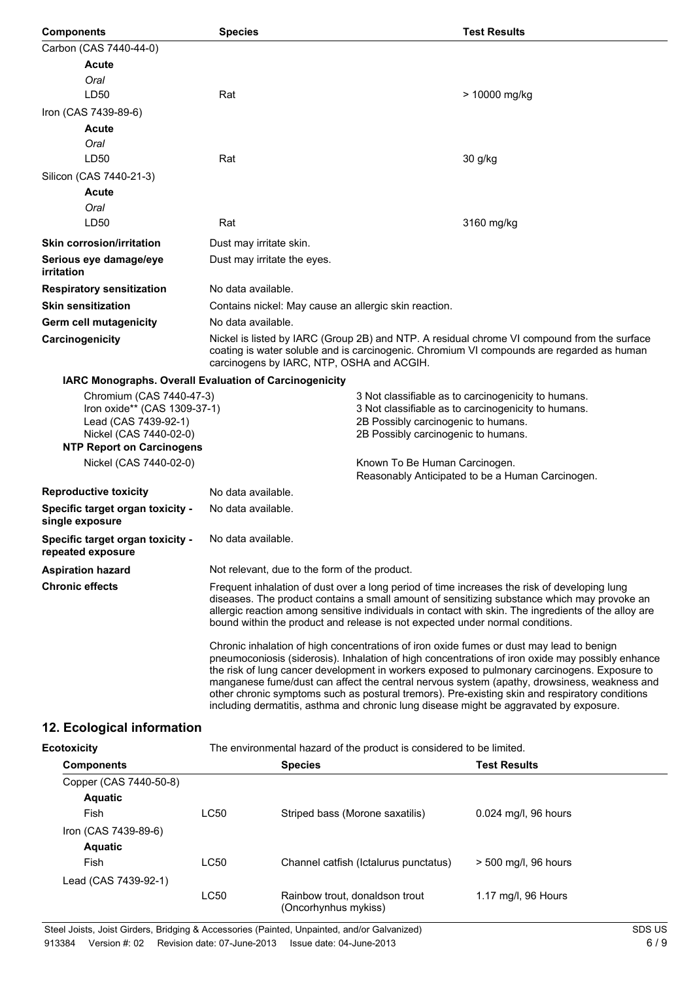| <b>Components</b>                                                                                                                              | <b>Species</b>                                                                                                                                                                                                                                                                                                                                                                                                                                                                                                                                                                                                                                                                                                                                                                                                                                                                                                                                                                  | <b>Test Results</b>                                                  |  |
|------------------------------------------------------------------------------------------------------------------------------------------------|---------------------------------------------------------------------------------------------------------------------------------------------------------------------------------------------------------------------------------------------------------------------------------------------------------------------------------------------------------------------------------------------------------------------------------------------------------------------------------------------------------------------------------------------------------------------------------------------------------------------------------------------------------------------------------------------------------------------------------------------------------------------------------------------------------------------------------------------------------------------------------------------------------------------------------------------------------------------------------|----------------------------------------------------------------------|--|
| Carbon (CAS 7440-44-0)                                                                                                                         |                                                                                                                                                                                                                                                                                                                                                                                                                                                                                                                                                                                                                                                                                                                                                                                                                                                                                                                                                                                 |                                                                      |  |
| <b>Acute</b>                                                                                                                                   |                                                                                                                                                                                                                                                                                                                                                                                                                                                                                                                                                                                                                                                                                                                                                                                                                                                                                                                                                                                 |                                                                      |  |
| Oral                                                                                                                                           |                                                                                                                                                                                                                                                                                                                                                                                                                                                                                                                                                                                                                                                                                                                                                                                                                                                                                                                                                                                 |                                                                      |  |
| LD50                                                                                                                                           | Rat                                                                                                                                                                                                                                                                                                                                                                                                                                                                                                                                                                                                                                                                                                                                                                                                                                                                                                                                                                             | > 10000 mg/kg                                                        |  |
| Iron (CAS 7439-89-6)                                                                                                                           |                                                                                                                                                                                                                                                                                                                                                                                                                                                                                                                                                                                                                                                                                                                                                                                                                                                                                                                                                                                 |                                                                      |  |
| <b>Acute</b>                                                                                                                                   |                                                                                                                                                                                                                                                                                                                                                                                                                                                                                                                                                                                                                                                                                                                                                                                                                                                                                                                                                                                 |                                                                      |  |
| Oral                                                                                                                                           |                                                                                                                                                                                                                                                                                                                                                                                                                                                                                                                                                                                                                                                                                                                                                                                                                                                                                                                                                                                 |                                                                      |  |
| LD50                                                                                                                                           | Rat                                                                                                                                                                                                                                                                                                                                                                                                                                                                                                                                                                                                                                                                                                                                                                                                                                                                                                                                                                             | 30 g/kg                                                              |  |
| Silicon (CAS 7440-21-3)                                                                                                                        |                                                                                                                                                                                                                                                                                                                                                                                                                                                                                                                                                                                                                                                                                                                                                                                                                                                                                                                                                                                 |                                                                      |  |
| Acute                                                                                                                                          |                                                                                                                                                                                                                                                                                                                                                                                                                                                                                                                                                                                                                                                                                                                                                                                                                                                                                                                                                                                 |                                                                      |  |
| Oral                                                                                                                                           |                                                                                                                                                                                                                                                                                                                                                                                                                                                                                                                                                                                                                                                                                                                                                                                                                                                                                                                                                                                 |                                                                      |  |
| LD50                                                                                                                                           | Rat                                                                                                                                                                                                                                                                                                                                                                                                                                                                                                                                                                                                                                                                                                                                                                                                                                                                                                                                                                             | 3160 mg/kg                                                           |  |
| <b>Skin corrosion/irritation</b>                                                                                                               | Dust may irritate skin.                                                                                                                                                                                                                                                                                                                                                                                                                                                                                                                                                                                                                                                                                                                                                                                                                                                                                                                                                         |                                                                      |  |
| Serious eye damage/eye<br>irritation                                                                                                           | Dust may irritate the eyes.                                                                                                                                                                                                                                                                                                                                                                                                                                                                                                                                                                                                                                                                                                                                                                                                                                                                                                                                                     |                                                                      |  |
| <b>Respiratory sensitization</b>                                                                                                               | No data available.                                                                                                                                                                                                                                                                                                                                                                                                                                                                                                                                                                                                                                                                                                                                                                                                                                                                                                                                                              |                                                                      |  |
| <b>Skin sensitization</b>                                                                                                                      | Contains nickel: May cause an allergic skin reaction.                                                                                                                                                                                                                                                                                                                                                                                                                                                                                                                                                                                                                                                                                                                                                                                                                                                                                                                           |                                                                      |  |
| Germ cell mutagenicity                                                                                                                         | No data available.                                                                                                                                                                                                                                                                                                                                                                                                                                                                                                                                                                                                                                                                                                                                                                                                                                                                                                                                                              |                                                                      |  |
| Carcinogenicity                                                                                                                                | Nickel is listed by IARC (Group 2B) and NTP. A residual chrome VI compound from the surface<br>coating is water soluble and is carcinogenic. Chromium VI compounds are regarded as human<br>carcinogens by IARC, NTP, OSHA and ACGIH.                                                                                                                                                                                                                                                                                                                                                                                                                                                                                                                                                                                                                                                                                                                                           |                                                                      |  |
| IARC Monographs. Overall Evaluation of Carcinogenicity                                                                                         |                                                                                                                                                                                                                                                                                                                                                                                                                                                                                                                                                                                                                                                                                                                                                                                                                                                                                                                                                                                 |                                                                      |  |
| Chromium (CAS 7440-47-3)<br>Iron oxide** (CAS 1309-37-1)<br>Lead (CAS 7439-92-1)<br>Nickel (CAS 7440-02-0)<br><b>NTP Report on Carcinogens</b> | 3 Not classifiable as to carcinogenicity to humans.<br>3 Not classifiable as to carcinogenicity to humans.<br>2B Possibly carcinogenic to humans.<br>2B Possibly carcinogenic to humans.                                                                                                                                                                                                                                                                                                                                                                                                                                                                                                                                                                                                                                                                                                                                                                                        |                                                                      |  |
| Nickel (CAS 7440-02-0)                                                                                                                         |                                                                                                                                                                                                                                                                                                                                                                                                                                                                                                                                                                                                                                                                                                                                                                                                                                                                                                                                                                                 | Known To Be Human Carcinogen.                                        |  |
|                                                                                                                                                |                                                                                                                                                                                                                                                                                                                                                                                                                                                                                                                                                                                                                                                                                                                                                                                                                                                                                                                                                                                 | Reasonably Anticipated to be a Human Carcinogen.                     |  |
| <b>Reproductive toxicity</b>                                                                                                                   | No data available.                                                                                                                                                                                                                                                                                                                                                                                                                                                                                                                                                                                                                                                                                                                                                                                                                                                                                                                                                              |                                                                      |  |
| Specific target organ toxicity -<br>single exposure                                                                                            | No data available.                                                                                                                                                                                                                                                                                                                                                                                                                                                                                                                                                                                                                                                                                                                                                                                                                                                                                                                                                              |                                                                      |  |
| Specific target organ toxicity -<br>repeated exposure                                                                                          | No data available.                                                                                                                                                                                                                                                                                                                                                                                                                                                                                                                                                                                                                                                                                                                                                                                                                                                                                                                                                              |                                                                      |  |
| <b>Aspiration hazard</b>                                                                                                                       | Not relevant, due to the form of the product.                                                                                                                                                                                                                                                                                                                                                                                                                                                                                                                                                                                                                                                                                                                                                                                                                                                                                                                                   |                                                                      |  |
| <b>Chronic effects</b>                                                                                                                         | Frequent inhalation of dust over a long period of time increases the risk of developing lung<br>diseases. The product contains a small amount of sensitizing substance which may provoke an<br>allergic reaction among sensitive individuals in contact with skin. The ingredients of the alloy are<br>bound within the product and release is not expected under normal conditions.<br>Chronic inhalation of high concentrations of iron oxide fumes or dust may lead to benign<br>pneumoconiosis (siderosis). Inhalation of high concentrations of iron oxide may possibly enhance<br>the risk of lung cancer development in workers exposed to pulmonary carcinogens. Exposure to<br>manganese fume/dust can affect the central nervous system (apathy, drowsiness, weakness and<br>other chronic symptoms such as postural tremors). Pre-existing skin and respiratory conditions<br>including dermatitis, asthma and chronic lung disease might be aggravated by exposure. |                                                                      |  |
|                                                                                                                                                |                                                                                                                                                                                                                                                                                                                                                                                                                                                                                                                                                                                                                                                                                                                                                                                                                                                                                                                                                                                 |                                                                      |  |
| 12. Ecological information                                                                                                                     |                                                                                                                                                                                                                                                                                                                                                                                                                                                                                                                                                                                                                                                                                                                                                                                                                                                                                                                                                                                 |                                                                      |  |
| <b>Ecotoxicity</b>                                                                                                                             |                                                                                                                                                                                                                                                                                                                                                                                                                                                                                                                                                                                                                                                                                                                                                                                                                                                                                                                                                                                 | The environmental hazard of the product is considered to be limited. |  |
| Comnonante                                                                                                                                     | <b>Snacias</b>                                                                                                                                                                                                                                                                                                                                                                                                                                                                                                                                                                                                                                                                                                                                                                                                                                                                                                                                                                  | <b>Toet Roculte</b>                                                  |  |

| <b>Components</b>      |             | <b>Species</b>                                         | <b>Test Results</b>  |
|------------------------|-------------|--------------------------------------------------------|----------------------|
| Copper (CAS 7440-50-8) |             |                                                        |                      |
| <b>Aquatic</b>         |             |                                                        |                      |
| Fish                   | LC50        | Striped bass (Morone saxatilis)                        | 0.024 mg/l, 96 hours |
| Iron (CAS 7439-89-6)   |             |                                                        |                      |
| <b>Aquatic</b>         |             |                                                        |                      |
| Fish                   | <b>LC50</b> | Channel catfish (Ictalurus punctatus)                  | > 500 mg/l, 96 hours |
| Lead (CAS 7439-92-1)   |             |                                                        |                      |
|                        | <b>LC50</b> | Rainbow trout, donaldson trout<br>(Oncorhynhus mykiss) | 1.17 mg/l, 96 Hours  |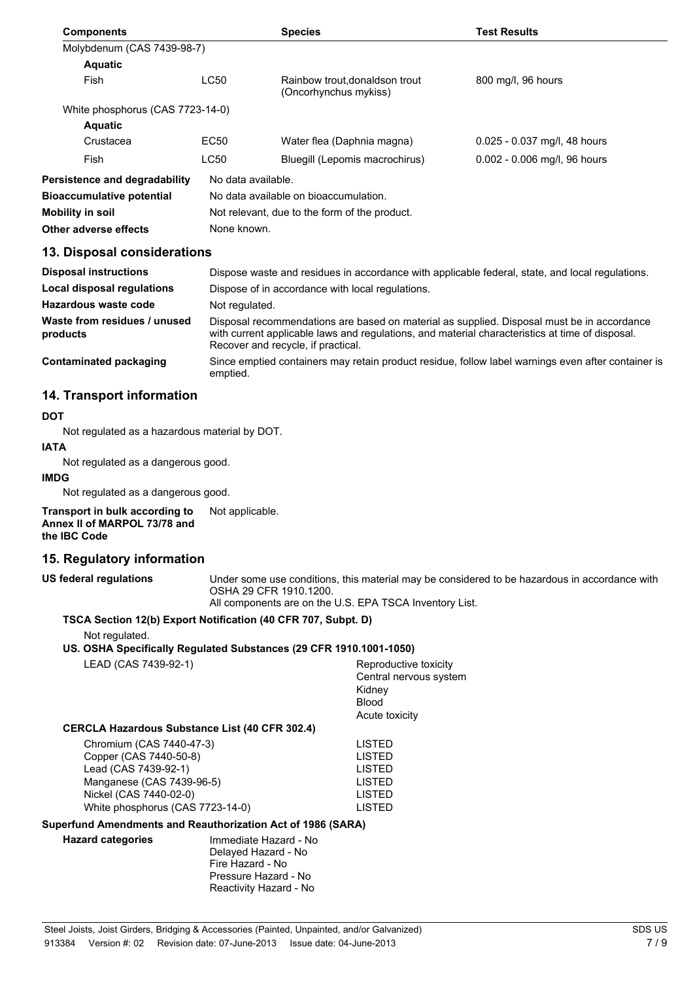| <b>Components</b>                |                    | <b>Species</b>                                         | <b>Test Results</b>          |
|----------------------------------|--------------------|--------------------------------------------------------|------------------------------|
| Molybdenum (CAS 7439-98-7)       |                    |                                                        |                              |
| <b>Aquatic</b>                   |                    |                                                        |                              |
| Fish                             | LC50               | Rainbow trout.donaldson trout<br>(Oncorhynchus mykiss) | 800 mg/l, 96 hours           |
| White phosphorus (CAS 7723-14-0) |                    |                                                        |                              |
| <b>Aquatic</b>                   |                    |                                                        |                              |
| Crustacea                        | EC <sub>50</sub>   | Water flea (Daphnia magna)                             | 0.025 - 0.037 mg/l, 48 hours |
| Fish                             | LC50               | Bluegill (Lepomis macrochirus)                         | 0.002 - 0.006 mg/l, 96 hours |
| Persistence and degradability    | No data available. |                                                        |                              |
| <b>Bioaccumulative potential</b> |                    | No data available on bioaccumulation.                  |                              |
| Mobility in soil                 |                    | Not relevant, due to the form of the product.          |                              |

**Other adverse effects** None known.

#### **13. Disposal considerations**

| <b>Disposal instructions</b>             | Dispose waste and residues in accordance with applicable federal, state, and local regulations.                                                                                                                                     |
|------------------------------------------|-------------------------------------------------------------------------------------------------------------------------------------------------------------------------------------------------------------------------------------|
| Local disposal regulations               | Dispose of in accordance with local regulations.                                                                                                                                                                                    |
| Hazardous waste code                     | Not regulated.                                                                                                                                                                                                                      |
| Waste from residues / unused<br>products | Disposal recommendations are based on material as supplied. Disposal must be in accordance<br>with current applicable laws and regulations, and material characteristics at time of disposal.<br>Recover and recycle, if practical. |
| Contaminated packaging                   | Since emptied containers may retain product residue, follow label warnings even after container is<br>emptied.                                                                                                                      |

## **14. Transport information**

#### **DOT**

Not regulated as a hazardous material by DOT.

# **IATA**

Not regulated as a dangerous good.

#### **IMDG**

Not regulated as a dangerous good.

**Transport in bulk according to Annex II of MARPOL 73/78 and the IBC Code** Not applicable.

## **15. Regulatory information**

**US federal regulations** Under some use conditions, this material may be considered to be hazardous in accordance with OSHA 29 CFR 1910.1200.

All components are on the U.S. EPA TSCA Inventory List.

### **TSCA Section 12(b) Export Notification (40 CFR 707, Subpt. D)**

Not regulated.

#### **US. OSHA Specifically Regulated Substances (29 CFR 1910.1001-1050)**

LEAD (CAS 7439-92-1) Reproductive toxicity

Central nervous system Kidney Blood Acute toxicity

#### **CERCLA Hazardous Substance List (40 CFR 302.4)**

| LISTED        |
|---------------|
| <b>LISTED</b> |
| LISTED        |
| LISTED        |
| LISTED        |
| LISTED        |
|               |

#### **Superfund Amendments and Reauthorization Act of 1986 (SARA)**

**Hazard categories** Immediate Hazard - No Delayed Hazard - No Fire Hazard - No Pressure Hazard - No Reactivity Hazard - No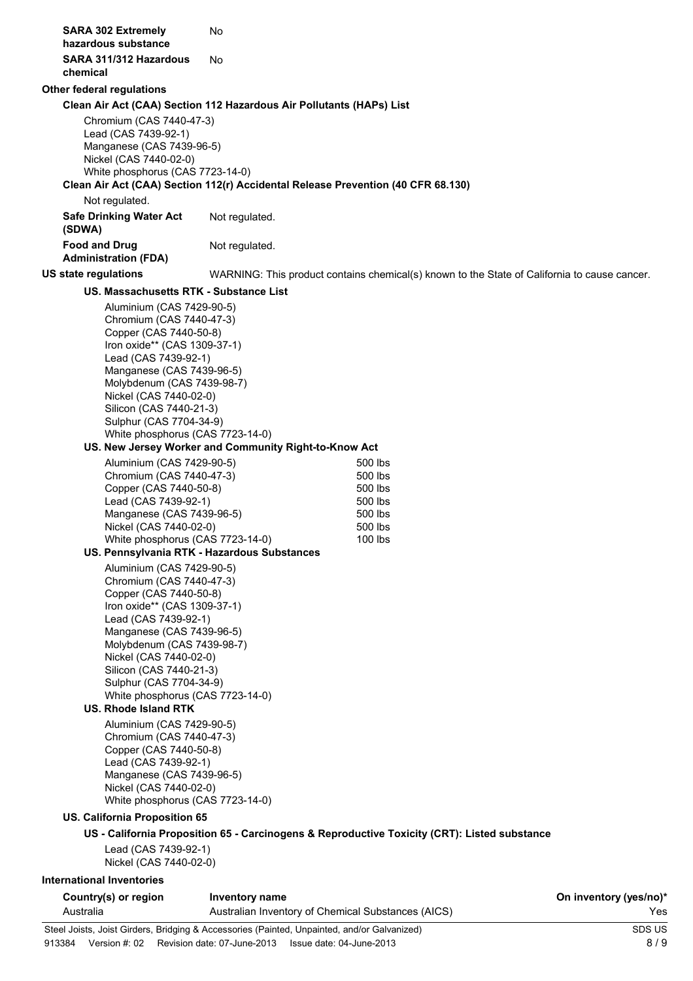| <b>SARA 302 Extremely</b>                                                                                                                                                                                                                                                                                                                                                                                                                                                                                                                                   | No                                                    |                                                                                              |                                                                                              |
|-------------------------------------------------------------------------------------------------------------------------------------------------------------------------------------------------------------------------------------------------------------------------------------------------------------------------------------------------------------------------------------------------------------------------------------------------------------------------------------------------------------------------------------------------------------|-------------------------------------------------------|----------------------------------------------------------------------------------------------|----------------------------------------------------------------------------------------------|
| hazardous substance                                                                                                                                                                                                                                                                                                                                                                                                                                                                                                                                         |                                                       |                                                                                              |                                                                                              |
| SARA 311/312 Hazardous<br>chemical                                                                                                                                                                                                                                                                                                                                                                                                                                                                                                                          | No                                                    |                                                                                              |                                                                                              |
| <b>Other federal regulations</b>                                                                                                                                                                                                                                                                                                                                                                                                                                                                                                                            |                                                       |                                                                                              |                                                                                              |
| Clean Air Act (CAA) Section 112 Hazardous Air Pollutants (HAPs) List<br>Chromium (CAS 7440-47-3)<br>Lead (CAS 7439-92-1)<br>Manganese (CAS 7439-96-5)<br>Nickel (CAS 7440-02-0)<br>White phosphorus (CAS 7723-14-0)                                                                                                                                                                                                                                                                                                                                         |                                                       |                                                                                              |                                                                                              |
|                                                                                                                                                                                                                                                                                                                                                                                                                                                                                                                                                             |                                                       | Clean Air Act (CAA) Section 112(r) Accidental Release Prevention (40 CFR 68.130)             |                                                                                              |
| Not regulated.                                                                                                                                                                                                                                                                                                                                                                                                                                                                                                                                              |                                                       |                                                                                              |                                                                                              |
| <b>Safe Drinking Water Act</b><br>(SDWA)                                                                                                                                                                                                                                                                                                                                                                                                                                                                                                                    | Not regulated.                                        |                                                                                              |                                                                                              |
| <b>Food and Drug</b><br><b>Administration (FDA)</b>                                                                                                                                                                                                                                                                                                                                                                                                                                                                                                         | Not regulated.                                        |                                                                                              |                                                                                              |
| <b>US state regulations</b>                                                                                                                                                                                                                                                                                                                                                                                                                                                                                                                                 |                                                       |                                                                                              | WARNING: This product contains chemical(s) known to the State of California to cause cancer. |
| US. Massachusetts RTK - Substance List                                                                                                                                                                                                                                                                                                                                                                                                                                                                                                                      |                                                       |                                                                                              |                                                                                              |
| Aluminium (CAS 7429-90-5)<br>Chromium (CAS 7440-47-3)<br>Copper (CAS 7440-50-8)<br>Iron oxide** (CAS 1309-37-1)<br>Lead (CAS 7439-92-1)<br>Manganese (CAS 7439-96-5)<br>Molybdenum (CAS 7439-98-7)<br>Nickel (CAS 7440-02-0)<br>Silicon (CAS 7440-21-3)<br>Sulphur (CAS 7704-34-9)<br>White phosphorus (CAS 7723-14-0)                                                                                                                                                                                                                                      | US. New Jersey Worker and Community Right-to-Know Act |                                                                                              |                                                                                              |
| Aluminium (CAS 7429-90-5)                                                                                                                                                                                                                                                                                                                                                                                                                                                                                                                                   |                                                       | 500 lbs                                                                                      |                                                                                              |
| Chromium (CAS 7440-47-3)<br>Copper (CAS 7440-50-8)<br>Lead (CAS 7439-92-1)<br>Manganese (CAS 7439-96-5)<br>Nickel (CAS 7440-02-0)                                                                                                                                                                                                                                                                                                                                                                                                                           |                                                       | 500 lbs<br>500 lbs<br>500 lbs<br>500 lbs<br>500 lbs                                          |                                                                                              |
| White phosphorus (CAS 7723-14-0)                                                                                                                                                                                                                                                                                                                                                                                                                                                                                                                            | US. Pennsylvania RTK - Hazardous Substances           | 100 lbs                                                                                      |                                                                                              |
| Aluminium (CAS 7429-90-5)<br>Chromium (CAS 7440-47-3)<br>Copper (CAS 7440-50-8)<br>Iron oxide** (CAS 1309-37-1)<br>Lead (CAS 7439-92-1)<br>Manganese (CAS 7439-96-5)<br>Molybdenum (CAS 7439-98-7)<br>Nickel (CAS 7440-02-0)<br>Silicon (CAS 7440-21-3)<br>Sulphur (CAS 7704-34-9)<br>White phosphorus (CAS 7723-14-0)<br><b>US. Rhode Island RTK</b><br>Aluminium (CAS 7429-90-5)<br>Chromium (CAS 7440-47-3)<br>Copper (CAS 7440-50-8)<br>Lead (CAS 7439-92-1)<br>Manganese (CAS 7439-96-5)<br>Nickel (CAS 7440-02-0)<br>White phosphorus (CAS 7723-14-0) |                                                       |                                                                                              |                                                                                              |
| <b>US. California Proposition 65</b>                                                                                                                                                                                                                                                                                                                                                                                                                                                                                                                        |                                                       |                                                                                              |                                                                                              |
| Lead (CAS 7439-92-1)                                                                                                                                                                                                                                                                                                                                                                                                                                                                                                                                        |                                                       | US - California Proposition 65 - Carcinogens & Reproductive Toxicity (CRT): Listed substance |                                                                                              |
| Nickel (CAS 7440-02-0)<br><b>International Inventories</b>                                                                                                                                                                                                                                                                                                                                                                                                                                                                                                  |                                                       |                                                                                              |                                                                                              |
| Country(s) or region<br>Australia                                                                                                                                                                                                                                                                                                                                                                                                                                                                                                                           | <b>Inventory name</b>                                 | Australian Inventory of Chemical Substances (AICS)                                           | On inventory (yes/no)*<br>Yes                                                                |
| Steel Joists, Joist Girders, Bridging & Accessories (Painted, Unpainted, and/or Galvanized)                                                                                                                                                                                                                                                                                                                                                                                                                                                                 |                                                       |                                                                                              | SDS US                                                                                       |
| 913384 Version #: 02 Revision date: 07-June-2013 Issue date: 04-June-2013                                                                                                                                                                                                                                                                                                                                                                                                                                                                                   |                                                       |                                                                                              | 8/9                                                                                          |